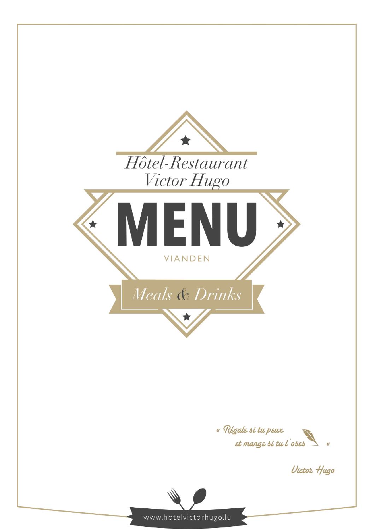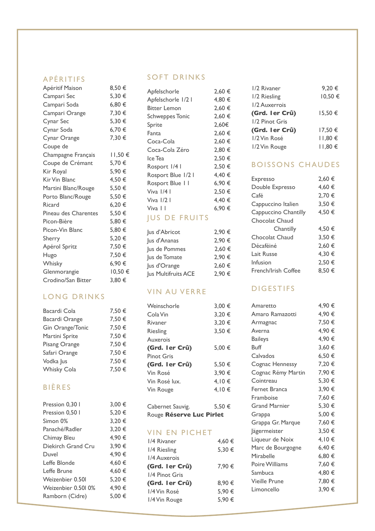#### APÉRITIFS

| Apéritif Maison      | 8,50€   |
|----------------------|---------|
| Campari Sec          | 5,30 €  |
| Campari Soda         | 6,80 €  |
| Campari Orange       | 7,30 €  |
| Cynar Sec            | 5,30 €  |
| Cynar Soda           | 6,70 €  |
| Cynar Orange         | 7,30 €  |
| Coupe de             |         |
| Champagne Français   | 11,50 € |
| Coupe de Crémant     | 5,70 €  |
| Kir Royal            | 5,90 €  |
| Kir Vin Blanc        | 4,50 €  |
| Martini Blanc/Rouge  | 5,50 €  |
| Porto Blanc/Rouge    | 5,50 €  |
| Ricard               | 6,20€   |
| Pineau des Charentes | 5,50 €  |
| Picon-Bière          | 5,80 €  |
| Picon-Vin Blanc      | 5,80 €  |
| Sherry               | 5,20 €  |
| Apérol Spritz        | 7,50 €  |
| Hugo                 | 7,50 €  |
| Whisky               | 6,90 €  |
| Glenmorangie         | 10,50 € |
| Crodino/San Bitter   | 3,80 €  |
|                      |         |

## LONG DRINKS

| 7,50 € |
|--------|
| 7,50 € |
| 7,50 € |
| 7,50 € |
| 7,50 € |
| 7,50 € |
| 7,50 € |
| 7,50 € |
|        |
|        |
| 3,00 € |
| 5,20 € |
| 3,20 € |
| 3,20 € |
| 4,90 € |
| 3,90 € |
| 4,90 € |
| 4,60 € |
| 4,60 € |
|        |

Weizenbier 0.50l 5,20  $\epsilon$ Weizenbier 0.50l 0% 4,90 € Ramborn (Cidre) 5,00 €

### SOFT DRINKS

| Apfelschorle           | 2.60 € |
|------------------------|--------|
| Apfelschorle 1/2 I     | 4,80 € |
| <b>Bitter Lemon</b>    | 2.60 € |
| <b>Schweppes Tonic</b> | 2.60 € |
| Sprite                 | 2,60€  |
| Fanta                  | 2,60 € |
| Coca-Cola              | 2.60 € |
| Coca-Cola Zéro         | 2,80 € |
| Ice Tea                | 2.50 € |
| Rosport 1/41           | 2.50 € |
| Rosport Blue 1/2 I     | 4.40 € |
| Rosport Blue I I       | 6,90 € |
| Viva $1/4$ I           | 2.50 € |
| Viva $1/2$ I           | 4,40 € |
| Viva I I               | 6,90 € |
| ----                   |        |

## JUS DE FRUITS

| Jus d'Abricot       | 2,90 € |
|---------------------|--------|
| Jus d'Ananas        | 2,90 € |
| Jus de Pommes       | 2,60 € |
| Jus de Tomate       | 2.90 € |
| Jus d'Orange        | 2,60 € |
| Jus Multifruits ACE | 2.90 € |

## VIN AU VERRE

| 3.00 € |
|--------|
| 3.20 € |
| 3.20 € |
| 3.50€  |
|        |
| 5.00 € |
|        |
| 5.50 € |
| 3,90 € |
| 4.10 € |
| 4.10 € |
|        |
|        |

Cabernet Sauvig. 5,50 € Rouge **Réserve Luc Pirlet**

## VIN EN PICHET

| 1/4 Rivaner    | 4.60 € |
|----------------|--------|
| 1/4 Riesling   | 5,30 € |
| 1/4 Auxerois   |        |
| (Grd. Ier Crû) | 7.90 € |
| 1/4 Pinot Gris |        |
| (Grd. Ier Crû) | 8.90 € |
| 1/4 Vin Rosé   | 5,90 € |
| 1/4 Vin Rouge  | 5,90 € |
|                |        |

| 1/2 Rivaner     | 9,20€       |
|-----------------|-------------|
| 1/2 Riesling    | 10,50€      |
| 1/2 Auxerrois   |             |
| (Grd. I er Crû) | $15.50 \in$ |
| 1/2 Pinot Gris  |             |
| (Grd. I er Crû) | 17.50 €     |
| 1/2 Vin Rosé    | $11,80 \in$ |
| 1/2 Vin Rouge   | 11,80€      |

## BOISSONS CHAUDES

| <b>Expresso</b>      | 2.60 € |
|----------------------|--------|
| Double Expresso      | 4,60 € |
| Café                 | 2,70 € |
| Cappuccino Italien   | 3,50 € |
| Cappuccino Chantilly | 4,50 € |
| Chocolat Chaud       |        |
| Chantilly            | 4,50 € |
| Chocolat Chaud       | 3,50 € |
| Décaféiné            | 2,60 € |
| Lait Russe           | 4,30 € |
| Infusion             | 2.50€  |
| French/Irish Coffee  | 8,50 € |

### DIGESTIFS

| Amaretto             | 4,90 € |
|----------------------|--------|
| Amaro Ramazotti      | 4,90 € |
| Armagnac             | 7,50 € |
| Averna               | 4,90 € |
| <b>Baileys</b>       | 4,90 € |
| Buff                 | 3,60 € |
| Calvados             | 6,50 € |
| Cognac Hennessy      | 7,20 € |
| Cognac Rémy Martin   | 7,90 € |
| Cointreau            | 5,30 € |
| Fernet Branca        | 3,90 € |
| Framboise            | 7,60 € |
| <b>Grand Marnier</b> | 5,30 € |
| Grappa               | 5,00 € |
| Grappa Gr. Marque    | 7,60 € |
| Jägermeister         | 3,50 € |
| Liqueur de Noix      | 4,10 € |
| Marc de Bourgogne    | 6,40 € |
| Mirabelle            | 6,80 € |
| Poire Williams       | 7,60 € |
| Sambuca              | 4,80 € |
| <b>Vieille Prune</b> | 7,80 € |
| Limoncello           | 3,90 € |
|                      |        |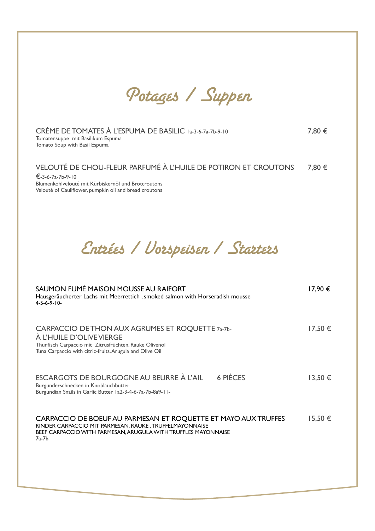Potages / Suppen

| CRÈME DE TOMATES À L'ESPUMA DE BASILIC 1a-3-6-7a-7b-9-10<br>Tomatensuppe mit Basilikum Espuma<br>Tomato Soup with Basil Espuma                                                                         | 7,80 €  |
|--------------------------------------------------------------------------------------------------------------------------------------------------------------------------------------------------------|---------|
| VELOUTÉ DE CHOU-FLEUR PARFUMÉ À L'HUILE DE POTIRON ET CROUTONS<br>€-3-6-7a-7b-9-10<br>Blumenkohlvelouté mit Kürbiskernöl und Brotcroutons<br>Velouté of Cauliflower, pumpkin oil and bread croutons    | 7,80 €  |
| Entrées / Vorspeisen / Starters                                                                                                                                                                        |         |
| SAUMON FUMÉ MAISON MOUSSE AU RAIFORT<br>Hausgeräucherter Lachs mit Meerrettich, smoked salmon with Horseradish mousse<br>$4 - 5 - 6 - 9 - 10 -$                                                        | 17,90 € |
| CARPACCIO DE THON AUX AGRUMES ET ROQUETTE 7a-7b-<br>À L'HUILE D'OLIVE VIERGE<br>Thunfisch Carpaccio mit Zitrusfrüchten, Rauke Olivenöl<br>Tuna Carpaccio with citric-fruits, Arugula and Olive Oil     | 17,50€  |
| <b>6 PIÈCES</b><br>ESCARGOTS DE BOURGOGNE AU BEURRE À L'AIL<br>Burgunderschnecken in Knoblauchbutter<br>Burgundian Snails in Garlic Butter 1a2-3-4-6-7a-7b-8a9-11-                                     | 13,50 € |
| CARPACCIO DE BOEUF AU PARMESAN ET ROQUETTE ET MAYO AUX TRUFFES<br>RINDER CARPACCIO MIT PARMESAN, RAUKE, TRÜFFELMAYONNAISE<br>BEEF CARPACCIO WITH PARMESAN, ARUGULA WITH TRUFFLES MAYONNAISE<br>$7a-7b$ | 15,50€  |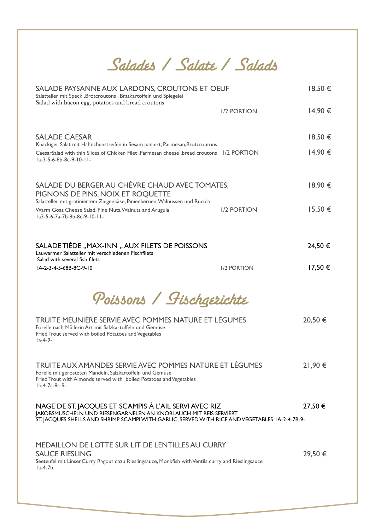Salades / Salate / Salads

| SALADE PAYSANNE AUX LARDONS, CROUTONS ET OEUF<br>Salatteller mit Speck , Brotcroutons , Bratkartoffeln und Spiegelei                                                                                                        |                    | 18,50€      |
|-----------------------------------------------------------------------------------------------------------------------------------------------------------------------------------------------------------------------------|--------------------|-------------|
| Salad with bacon egg, potatoes and bread croutons                                                                                                                                                                           | <b>I/2 PORTION</b> | 14,90 €     |
| <b>SALADE CAESAR</b><br>Knackiger Salat mit Hähnchenstreifen in Sesam paniert, Parmesan, Brotcroutons                                                                                                                       |                    | 18,50 €     |
| CaesarSalad with thin Slices of Chicken Filet , Parmesan cheese , bread croutons 1/2 PORTION<br>$1a-3-5-6-8b-8c-9-10-11-$                                                                                                   |                    | 14,90 €     |
| SALADE DU BERGER AU CHÈVRE CHAUD AVEC TOMATES,<br>PIGNONS DE PINS, NOIX ET ROQUETTE<br>Salatteller mit gratiniertem Ziegenkäse, Pinienkernen, Walnüssen und Rucola                                                          |                    | 18,90 €     |
| Warm Goat Cheese Salad, Pine Nuts, Walnuts and Arugula<br>la3-5-6-7a-7b-8b-8c-9-10-11-                                                                                                                                      | <b>I/2 PORTION</b> | 15,50€      |
| SALADE TIÈDE "MAX-INN "AUX FILETS DE POISSONS<br>Lauwarmer Salatteller mit verschiedenen Fischfilets<br>Salad with several fish filets                                                                                      |                    | 24,50€      |
| IA-2-3-4-5-68B-8C-9-10                                                                                                                                                                                                      | <b>I/2 PORTION</b> | $17,50 \in$ |
| Poissons / Fischgerichte                                                                                                                                                                                                    |                    |             |
| TRUITE MEUNIÈRE SERVIE AVEC POMMES NATURE ET LÉGUMES<br>Forelle nach Müllerin Art mit Salzkartoffeln und Gemüse<br>Fried Trout served with boiled Potatoes and Vegetables<br>$1a-4-9-$                                      |                    | 20,50 €     |
| TRUITE AUX AMANDES SERVIE AVEC POMMES NATURE ET LÉGUMES<br>Forelle mit gerösteten Mandeln, Salzkartoffeln und Gemüse<br>Fried Trout with Almonds served with boiled Potatoes and Vegetables<br>la-4-7a-8a-9-                |                    | 21,90 €     |
| NAGE DE ST. JACQUES ET SCAMPIS À L'AIL SERVI AVEC RIZ<br>JAKOBSMUSCHELN UND RIESENGARNELEN AN KNOBLAUCH MIT REIS SERVIERT<br>ST. JACQUES SHELLS AND SHRIMP SCAMPI WITH GARLIC, SERVED WITH RICE AND VEGETABLES 1A-2-4-7B-9- |                    | 27,50 €     |
| <b>MEDAILLON DE LOTTE SUR LIT DE LENTILLES AU CURRY</b><br><b>SAUCE RIESLING</b><br>Seeteufel mit LinsenCurry Ragout dazu Rieslingsauce, Monkfish with Ventils curry and Rieslingsauce<br>$1a-4-7b$                         |                    | 29,50 €     |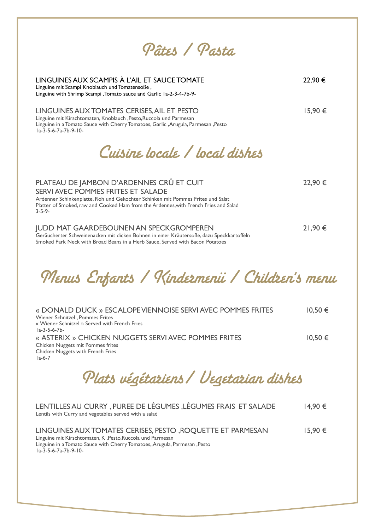Pâtes / Pasta

| LINGUINES AUX SCAMPIS À L'AIL ET SAUCE TOMATE<br>Linguine mit Scampi Knoblauch und Tomatensoße,<br>Linguine with Shrimp Scampi , Tomato sauce and Garlic 1a-2-3-4-7b-9-                                                                                                  | 22,90 € |
|--------------------------------------------------------------------------------------------------------------------------------------------------------------------------------------------------------------------------------------------------------------------------|---------|
| LINGUINES AUX TOMATES CERISES, AIL ET PESTO<br>Linguine mit Kirschtomaten, Knoblauch , Pesto, Ruccola und Parmesan<br>Linguine in a Tomato Sauce with Cherry Tomatoes, Garlic , Arugula, Parmesan, Pesto<br>$1a-3-5-6-7a-7b-9-10-$                                       | 15,90 € |
| Cuisine locale / local dishes                                                                                                                                                                                                                                            |         |
| PLATEAU DE JAMBON D'ARDENNES CRÛ ET CUIT<br>SERVI AVEC POMMES FRITES ET SALADE<br>Ardenner Schinkenplatte, Roh und Gekochter Schinken mit Pommes Frites und Salat<br>Platter of Smoked, raw and Cooked Ham from the Ardennes, with French Fries and Salad<br>$3 - 5 - 9$ | 22,90 € |
| <b>JUDD MAT GAARDEBOUNEN AN SPECKGROMPEREN</b><br>Geräucherter Schweinenacken mit dicken Bohnen in einer Kräutersoße, dazu Speckkartoffeln<br>Smoked Park Neck with Broad Beans in a Herb Sauce, Served with Bacon Potatoes                                              | 21,90 € |

Menus Enfants / Kindermenü / Children's menu

| « DONALD DUCK » ESCALOPE VIENNOISE SERVI AVEC POMMES FRITES | $10,50 \in$ |
|-------------------------------------------------------------|-------------|
| Wiener Schnitzel, Pommes Frites                             |             |
| « Wiener Schnitzel » Served with French Fries               |             |
| $1a - 3 - 5 - 6 - 7b -$                                     |             |
| « ASTERIX » CHICKEN NUGGETS SERVI AVEC POMMES FRITES        | $10,50 \in$ |
| Chicken Nuggets mit Pommes frites                           |             |
| Chicken Nuggets with French Fries                           |             |
| $1a-6-7$                                                    |             |

Plats végétariens/ Vegetarian dishes

| LENTILLES AU CURRY, PUREE DE LÉGUMES, LÉGUMES FRAIS ET SALADE<br>Lentils with Curry and vegetables served with a salad                                                                                                          | 14,90 €     |
|---------------------------------------------------------------------------------------------------------------------------------------------------------------------------------------------------------------------------------|-------------|
| LINGUINES AUX TOMATES CERISES, PESTO, ROQUETTE ET PARMESAN<br>Linguine mit Kirschtomaten, K, Pesto, Ruccola und Parmesan<br>Linguine in a Tomato Sauce with Cherry Tomatoes, Arugula, Parmesan, Pesto<br>$1a-3-5-6-7a-7b-9-10-$ | $15,90 \in$ |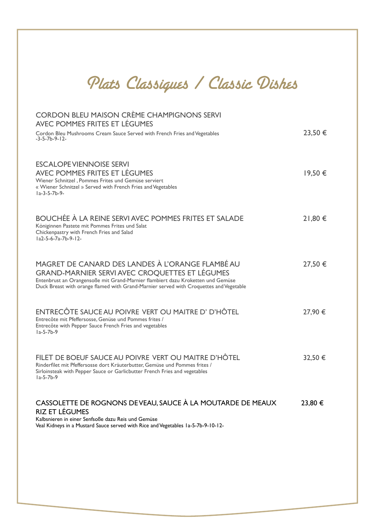# Plats Classiques / Classic Dishes

| <b>CORDON BLEU MAISON CRÈME CHAMPIGNONS SERVI</b><br>AVEC POMMES FRITES ET LÉGUMES                                                                                                                                                                                              |         |
|---------------------------------------------------------------------------------------------------------------------------------------------------------------------------------------------------------------------------------------------------------------------------------|---------|
| Cordon Bleu Mushrooms Cream Sauce Served with French Fries and Vegetables<br>$-3-5-7b-9-12-$                                                                                                                                                                                    | 23,50 € |
| <b>ESCALOPE VIENNOISE SERVI</b><br>AVEC POMMES FRITES ET LÉGUMES<br>Wiener Schnitzel, Pommes Frites und Gemüse serviert<br>« Wiener Schnitzel » Served with French Fries and Vegetables<br>$1a-3-5-7b-9-$                                                                       | 19,50 € |
| <b>BOUCHÉE À LA REINE SERVI AVEC POMMES FRITES ET SALADE</b><br>Königinnen Pastete mit Pommes Frites und Salat<br>Chickenpastry with French Fries and Salad<br>la2-5-6-7a-7b-9-12-                                                                                              | 21,80 € |
| MAGRET DE CANARD DES LANDES À L'ORANGE FLAMBÉ AU<br>GRAND-MARNIER SERVI AVEC CROQUETTES ET LÉGUMES<br>Entenbrust an Orangensoße mit Grand-Marnier flambiert dazu Kroketten und Gemüse<br>Duck Breast with orange flamed with Grand-Marnier served with Croquettes and Vegetable | 27,50 € |
| ENTRECÔTE SAUCE AU POIVRE VERT OU MAITRE D' D'HÔTEL<br>Entrecôte mit Pfeffersosse, Genüse und Pommes frites /<br>Entrecôte with Pepper Sauce French Fries and vegetables<br>$1a-5-7b-9$                                                                                         | 27,90 € |
| FILET DE BOEUF SAUCE AU POIVRE VERT OU MAITRE D'HÔTEL<br>Rinderfilet mit Pfeffersosse dort Kräuterbutter, Gemüse und Pommes frites /<br>Sirloinsteak with Pepper Sauce or Garlicbutter French Fries and vegetables<br>$1a-5-7b-9$                                               | 32,50 € |
| CASSOLETTE DE ROGNONS DEVEAU, SAUCE À LA MOUTARDE DE MEAUX<br><b>RIZ ET LÉGUMES</b><br>Kalbsnieren in einer Senfsoße dazu Reis und Gemüse<br>Veal Kidneys in a Mustard Sauce served with Rice and Vegetables 1a-5-7b-9-10-12-                                                   | 23,80 € |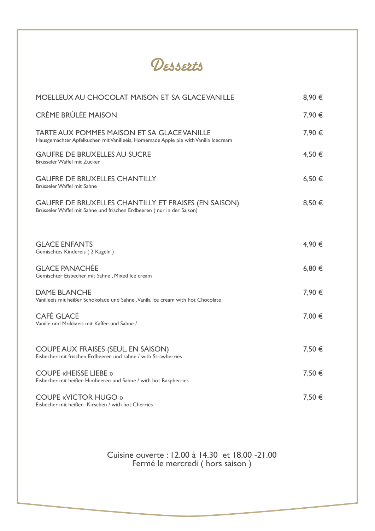

| <b>MOELLEUX AU CHOCOLAT MAISON ET SA GLACE VANILLE</b>                                                                                   | 8,90 € |
|------------------------------------------------------------------------------------------------------------------------------------------|--------|
| <b>CRÈME BRÙLÉE MAISON</b>                                                                                                               | 7,90 € |
| <b>TARTE AUX POMMES MAISON ET SA GLACE VANILLE</b><br>Hausgemachter Apfelkuchen mit Vanilleeis, Homemade Apple pie with Vanilla Icecream | 7,90 € |
| <b>GAUFRE DE BRUXELLES AU SUCRE</b><br>Brüsseler Waffel mit Zucker                                                                       | 4,50 € |
| <b>GAUFRE DE BRUXELLES CHANTILLY</b><br>Brüsseler Waffel mit Sahne                                                                       | 6,50€  |
| <b>GAUFRE DE BRUXELLES CHANTILLY ET FRAISES (EN SAISON)</b><br>Brüsseler Waffel mit Sahne und frischen Erdbeeren ( nur in der Saison)    | 8,50 € |
|                                                                                                                                          |        |
| <b>GLACE ENFANTS</b><br>Gemischtes Kindereis (2 Kugeln)                                                                                  | 4,90 € |
| <b>GLACE PANACHÉE</b><br>Gemischter Eisbecher mit Sahne, Mixed Ice cream                                                                 | 6,80€  |
| <b>DAME BLANCHE</b><br>Vanilleeis mit heißer Schokolade und Sahne, Vanila Ice cream with hot Chocolate                                   | 7,90 € |
| <b>CAFÉ GLACÉ</b><br>Vanille und Mokkaeis mit Kaffee und Sahne /                                                                         | 7,00 € |
| COUPE AUX FRAISES (SEUL. EN SAISON)<br>Eisbecher mit frischen Erdbeeren und sahne / with Strawberries                                    | 7,50 € |
| <b>COUPE «HEISSE LIEBE »</b><br>Eisbecher mit heißen Himbeeren und Sahne / with hot Raspberries                                          | 7,50 € |
| <b>COUPE «VICTOR HUGO »</b><br>Eisbecher mit heißen Kirschen / with hot Cherries                                                         | 7,50 € |

Cuisine ouverte : 12.00 à 14.30 et 18.00 -21.00 Fermé le mercredi ( hors saison )